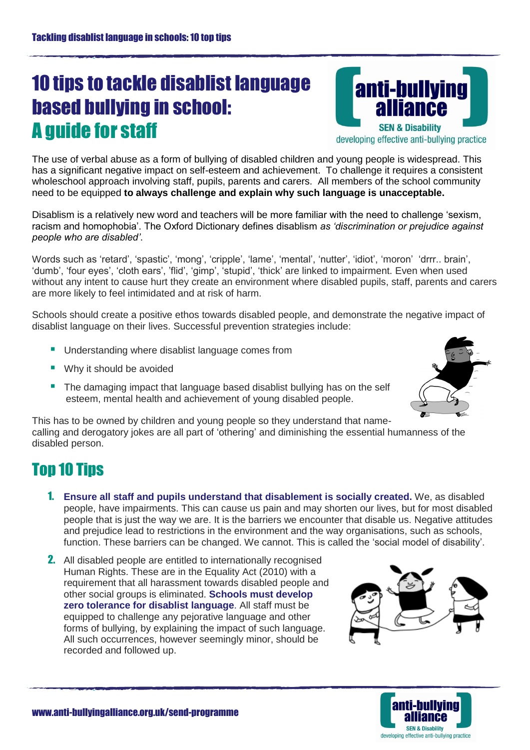## 10 tips to tackle disablist language based bullying in school: A guide for staff

anti-bullying **IIANCA SEN & Disability** developing effective anti-bullying practice

The use of verbal abuse as a form of bullying of disabled children and young people is widespread. This has a significant negative impact on self-esteem and achievement. To challenge it requires a consistent wholeschool approach involving staff, pupils, parents and carers. All members of the school community need to be equipped **to always challenge and explain why such language is unacceptable.** 

Disablism is a relatively new word and teachers will be more familiar with the need to challenge 'sexism, racism and homophobia'. The Oxford Dictionary defines disablism *as 'discrimination or prejudice against people who are disabled'*.

Words such as 'retard', 'spastic', 'mong', 'cripple', 'lame', 'mental', 'nutter', 'idiot', 'moron' 'drrr.. brain', 'dumb', 'four eyes', 'cloth ears', 'flid', 'gimp', 'stupid', 'thick' are linked to impairment. Even when used without any intent to cause hurt they create an environment where disabled pupils, staff, parents and carers are more likely to feel intimidated and at risk of harm.

Schools should create a positive ethos towards disabled people, and demonstrate the negative impact of disablist language on their lives. Successful prevention strategies include:

- **Understanding where disablist language comes from**
- Why it should be avoided
- **The damaging impact that language based disablist bullying has on the self** esteem, mental health and achievement of young disabled people.



This has to be owned by children and young people so they understand that namecalling and derogatory jokes are all part of 'othering' and diminishing the essential humanness of the disabled person.

## Top 10 Tips

- 1. **Ensure all staff and pupils understand that disablement is socially created.** We, as disabled people, have impairments. This can cause us pain and may shorten our lives, but for most disabled people that is just the way we are. It is the barriers we encounter that disable us. Negative attitudes and prejudice lead to restrictions in the environment and the way organisations, such as schools, function. These barriers can be changed. We cannot. This is called the 'social model of disability'.
- 2. All disabled people are entitled to internationally recognised Human Rights. These are in the Equality Act (2010) with a requirement that all harassment towards disabled people and other social groups is eliminated. **Schools must develop zero tolerance for disablist language**. All staff must be equipped to challenge any pejorative language and other forms of bullying, by explaining the impact of such language. All such occurrences, however seemingly minor, should be recorded and followed up.